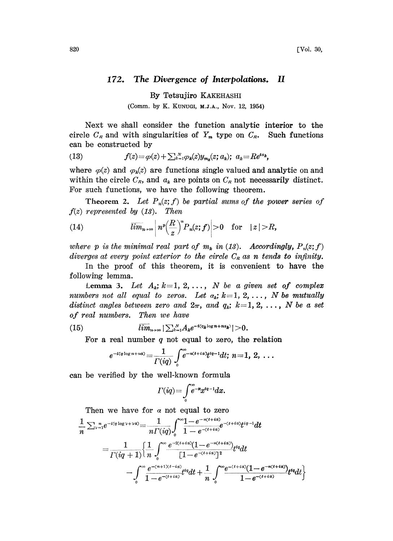## 172. The Divergence of Interpolations. II

By Tetsujiro KAKEHASHI (Comm. by K. KUNUGI, M.J.A., Nov. 12, 1954)

Next we shall consider the function analytic interior to the circle  $C_R$  and with singularities of  $Y_m$  type on  $C_R$ . Such functions can be constructed by

(13) 
$$
f(z) = \varphi(z) + \sum_{k=1}^{N} \varphi_k(z) y_{m_k}(z; a_k); \ a_k = R e^{i a_k},
$$

where  $\varphi(z)$  and  $\varphi_k(z)$  are functions single valued and analytic on and within the circle  $C_R$ , and  $a_k$  are points on  $C_R$  not necessarily distinct. For such functions, we have the following theorem.

Theorem 2. Let  $P_n(z; f)$  be partial sums of the power series of  $f(z)$  represented by  $(13)$ . Then

(14) 
$$
\overline{lim}_{n\to\infty}\left|n^p\left(\frac{R}{z}\right)^nP_n(z;f)\right|>0 \text{ for } |z|>R,
$$

where p is the minimal real part of  $m_k$  in (13). Accordingly,  $P_n(z; f)$ diverges at every point exterior to the circle  $C_R$  as n tends to infinity.

In the proof of this theorem, it is convenient to have the following lemma.

Lemma 3. Let  $A_k$ ;  $k=1, 2, \ldots, N$  be a given set of complex numbers not all equal to zeros. Let  $a_k$ ;  $k=1, 2, \ldots$ , N be mutually distinct angles between zero and  $2\pi$ , and  $q_k$ ;  $k=1, 2, \ldots, N$  be a set of real numbers. Then we have

(15) 
$$
\overline{\lim}_{n\to\infty}|\sum_{k=1}^N A_k e^{-i(a_k\log n+n a_k)}|>0.
$$

For a real number  $q$  not equal to zero, the relation

$$
e^{-i \langle q \log n + n \alpha \rangle} = \frac{1}{\Gamma(iq)} \int\limits_0^\infty e^{-n(t+i\alpha)} t^{iq-1} dt; \ n = 1, 2, \ \ldots
$$

can be verified by the well-known formula

$$
\varGamma(iq) = \int\limits_0^\infty e^{-x} x^{tq-1} dx.
$$

Then we have for  $\alpha$  not equal to zero

$$
\frac{1}{n} \sum_{y=1}^{n} e^{-i(q \log y + y \alpha)} = \frac{1}{n \Gamma(iq)} \int_{0}^{\infty} \frac{1 - e^{-n(t + i\alpha)}}{1 - e^{-(t + i\alpha)}} e^{-(t + i\alpha)} t^{iq - 1} dt
$$
\n
$$
= \frac{1}{\Gamma(iq + 1)} \left\{ \frac{1}{n} \int_{0}^{\infty} \frac{e^{-2(t + i\alpha)} (1 - e^{-n(t + i\alpha)})}{[1 - e^{-(t + i\alpha)}]^2} t^{iq} dt - \int_{0}^{\infty} \frac{e^{-(n + 1)(t - i\alpha)}}{1 - e^{-(t + i\alpha)}} t^{iq} dt + \frac{1}{n} \int_{0}^{\infty} \frac{e^{-(t + i\alpha)} (1 - e^{-n(t + i\alpha)})}{1 - e^{-(t + i\alpha)}} t^{iq} dt \right\}
$$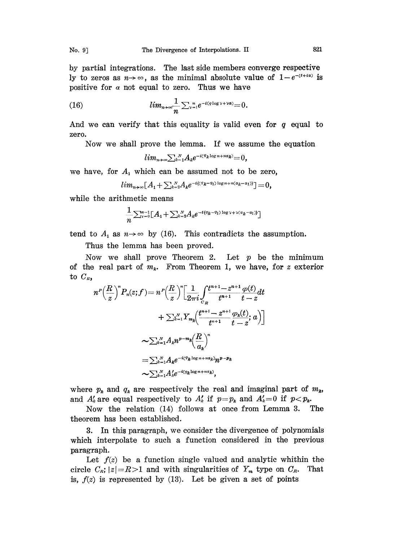by partial integrations. The last side members converge respective ly to zeros as  $n \rightarrow \infty$ , as the minimal absolute value of  $1-e^{-(t+i\alpha)}$  is positive for  $\alpha$  not equal to zero. Thus we have

(16) 
$$
lim_{n\to\infty}\frac{1}{n}\sum_{\nu=1}^n e^{-i(q\log \nu+\nu a)}=0.
$$

And we can verify that this equality is valid even for  $q$  equal to zero.

Now we shall prove the lemma. If we assume the equation

$$
lim_{n\to\infty}\sum_{k=1}^N A_k e^{-i(q_k\log n+n\alpha_k)}=0,
$$

we have, for  $A_1$  which can be assumed not to be zero,

$$
lim_{n\to\infty}[A_1+\sum_{k=2}^N A_ke^{-i((q_k-q_1)\log n+n(\alpha_k-\alpha_1))}]=0,
$$

while the arithmetic means

$$
\frac{1}{n}\sum_{\mathbf{v}=0}^{n-1}[A_1+\sum_{k=2}^N A_k e^{-i\{q_k-q_1\}\log \mathbf{v}+\mathbf{v}(a_k-a_1)\}}]
$$

tend to  $A_1$  as  $n \rightarrow \infty$  by (16). This contradicts the assumption.

Thus the lemma has been proved.

Now we shall prove Theorem 2. Let  $p$  be the minimum of the real part of  $m_k$ . From Theorem 1, we have, for z exterior to  $C_R$ ,

$$
n^{P}\left(\frac{R}{z}\right)^{n}P_{n}(z;f) = n^{P}\left(\frac{R}{z}\right)^{n}\left[\frac{1}{2\pi i}\int_{C_{R}}\frac{t^{n+1}-z^{n+1}}{t^{n+1}}\frac{\varphi(t)}{t-z}dt\right.+ \sum_{k=1}^{N}Y_{m_{k}}\left(\frac{t^{n+1}-z^{n+1}}{t^{n+1}}\frac{\varphi_{k}(t)}{t-z};a\right)\right]\sim \sum_{k=1}^{N}A_{k}n^{p-m_{k}}\left(\frac{R}{a_{k}}\right)^{n}= \sum_{k=1}^{N}A_{k}e^{-i\langle q_{k}\log n+n\alpha_{k}\rangle}n^{p-p_{k}}\sim \sum_{k=1}^{N}A_{k}^{\prime}e^{-i\langle q_{k}\log n+n\alpha_{k}\rangle},
$$

where  $p_k$  and  $q_k$  are respectively the real and imaginal part of  $m_k$ , and  $A'_k$  are equal respectively to  $A'_k$  if  $p=p_k$  and  $A'_k=0$  if  $p.<br>Now the relation (14) follows at once from Lemma 3. The$ 

Now the relation  $(14)$  follows at once from Lemma 3. theorem has been established.

3. In this paragraph, we consider the divergence of polynomials which interpolate to such a function considered in the previous paragraph.

Let  $f(z)$  be a function single valued and analytic whithin the circle  $C_{\kappa}$ ;  $|z|=R>1$  and with singularities of  $Y_{\kappa}$  type on  $C_{\kappa}$ . That is,  $f(z)$  is represented by (13). Let be given a set of points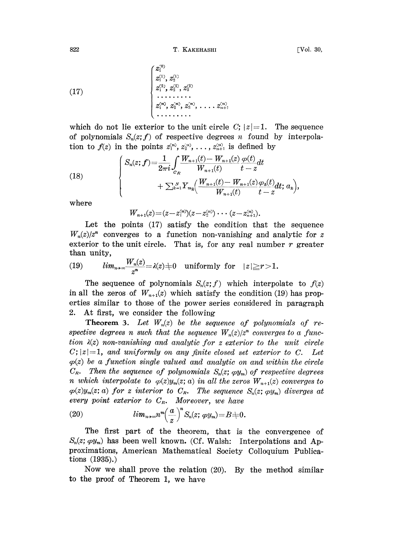822 T. KAKEHASHI [Vol. 30,

(17)

 $\sim$   $\sim$ 

which do not lie exterior to the unit circle C;  $|z|=1$ . The sequence of polynomials  $S_n(z; f)$  of respective degrees n found by interpolation to  $f(z)$  in the points  $z_1^{(n)}, z_2^{(n)}, \ldots, z_{n+1}^{(n)}$  is defined by

(18) 
$$
\begin{cases} S_n(z; f) = \frac{1}{2\pi i} \int_{c_R} \frac{W_{n+1}(t) - W_{n+1}(z)}{W_{n+1}(t)} \frac{\varphi(t)}{t - z} dt \\ + \sum_{k=1}^N Y_{m_k} \left( \frac{W_{n+1}(t) - W_{n+1}(z)}{W_{n+1}(t)} \frac{\varphi_k(t)}{t - z} dt; a_k \right), \end{cases}
$$

where

 $W_{n+1}(z) = (z - z_1^{(n)})(z - z_2^{(n)}) \cdots (z - z_{n+1}^{(n)}).$ 

Let the points  $(17)$  satisfy the condition that the sequence  $W_n(z)/z^n$  converges to a function non-vanishing and analytic for z exterior to the unit circle. That is, for any real number  $r$  greater than unity,

(19) 
$$
lim_{n\to\infty}\frac{W_n(z)}{z^n}=\lambda(z)+0 \text{ uniformly for } |z|\geq r>1.
$$

The sequence of polynomials  $S_n(z;f)$  which interpolate to  $f(z)$ in all the zeros of  $W_{n+1}(z)$  which satisfy the condition (19) has properties similar to those of the power series considered in paragraph 2. At first, we consider the following

**Theorem 3.** Let  $W_n(z)$  be the sequence of polynomials of respective degrees n such that the sequence  $W_n(z)/z^n$  converges to a function  $\lambda(z)$  non-vanishing and analytic for z exterior to the unit circle  $C; |z|=1$ , and uniformly on any finite closed set exterior to C. Let  $\varphi(z)$  be a function single valued and analytic on and within the circle  $C_R$ . Then the sequence of polynomials  $S_n(z; \varphi y_m)$  of respective degrees n which interpolate to  $\varphi(z)y_m(z; a)$  in all the zeros  $W_{n+1}(z)$  converges to  $\varphi(z)y_m(z; a)$  for z interior to  $C_R$ . The sequence  $S_n(z; \varphi y_m)$  diverges at every point exterior to  $C_R$ . Moreover, we have

(20) 
$$
lim_{n\to\infty}n^m\left(\frac{a}{z}\right)^nS_n(z;\,\varphi y_m)=B+0.
$$

(20)  $\lim_{n\to\infty} n^m \left(\frac{a}{z}\right)^n S_n(z; \varphi y_m) = B \neq 0.$ <br>The first part of the theorem, that is the convergence of  $S_n(z; \varphi y_m)$  has been well known. (Cf. Walsh: Interpolations and Approximations, American Mathematical Society C The first part of the theorem, that is the convergence of  $S_n(z; \varphi y_m)$  has been well known. (Cf. Walsh: Interpolations and Aptions (1935).)

Now we shall prove the relation (20). By the method similar to the proof of Theorem 1, we have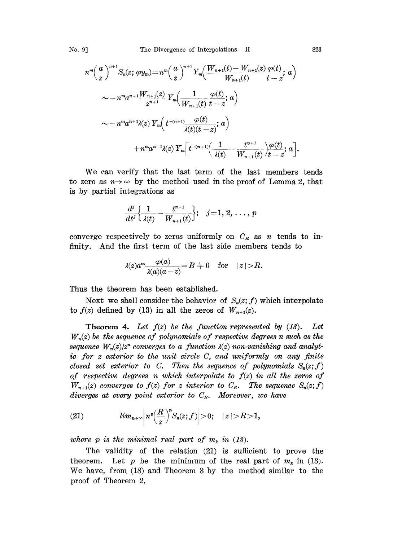$$
n^{m} \left(\frac{a}{z}\right)^{n+1} S_{n}(z; \varphi y_{m}) = n^{m} \left(\frac{a}{z}\right)^{n+1} Y_{m} \left(\frac{W_{n+1}(t) - W_{n+1}(z)}{W_{n+1}(t)} \frac{\varphi(t)}{t - z}; a\right)
$$
  

$$
\sim -n^{m} a^{n+1} \frac{W_{n+1}(z)}{z^{n+1}} Y_{m} \left(\frac{1}{W_{n+1}(t)} \frac{\varphi(t)}{t - z}; a\right)
$$
  

$$
\sim -n^{m} a^{n+1} \lambda(z) Y_{m} \left(t^{-(n+1)} \frac{\varphi(t)}{\lambda(t)(t - z)}; a\right)
$$
  

$$
+ n^{m} a^{n+1} \lambda(z) Y_{m} \left[t^{-(n+1)} \left(\frac{1}{\lambda(t)} - \frac{t^{n+1}}{W_{n+1}(t)}\right) \frac{\varphi(t)}{t - z}; a\right].
$$

We can verify that the last term of the last members tends to zero as  $n \rightarrow \infty$  by the method used in the proof of Lemma 2, that is by partial integrations as

$$
\frac{d^j}{dt^j} \Big\{ \frac{1}{\lambda(t)} - \frac{t^{n+1}}{W_{n+1}(t)} \Big\}; \quad j = 1, 2, \ldots, p
$$

converge respectively to zeros uniformly on  $C_R$  as n tends to infinity. And the first term of the last side members tends to

$$
\lambda(z)a^m \frac{\varphi(a)}{\lambda(a)(a-z)} = B \neq 0 \quad \text{for} \quad |z| > R.
$$

Thus the theorem has been established.

 $\overline{a}$ 

Next we shall consider the behavior of  $S_n(z; f)$  which interpolate to  $f(z)$  defined by (13) in all the zeros of  $W_{n+1}(z)$ .

**Theorem 4.** Let  $f(z)$  be the function represented by  $(13)$ . Let  $W_n(z)$  be the sequence of polynomials of respective degrees n such as the sequence  $W_n(z)/z^n$  converges to a function  $\lambda(z)$  non-vanishing and analytic for <sup>z</sup> exterior to the unit circle C, and uniformly on any finite closed set exterior to C. Then the sequence of polynomials  $S_n(z; f)$ of respective degrees n which interpolate to  $f(z)$  in all the zeros of  $W_{n+1}(z)$  converges to  $f(z)$  for z interior to  $C_R$ . The sequence  $S_n(z;f)$ diverges at every point exterior to  $C_R$ . Moreover, we have

(21) 
$$
\overline{\lim}_{n\to\infty}\left|n^p\left(\frac{R}{z}\right)^nS_n(z;f)\right|>0;\quad |z|>R>1,
$$

where p is the minimal real part of  $m_k$  in (13).

The validity of the relation (21) is sufficient to prove the theorem. Let p be the minimum of the real part of  $m_k$  in (13). We have, from (18) and Theorem <sup>3</sup> by the method similar to the proof of Theorem 2,